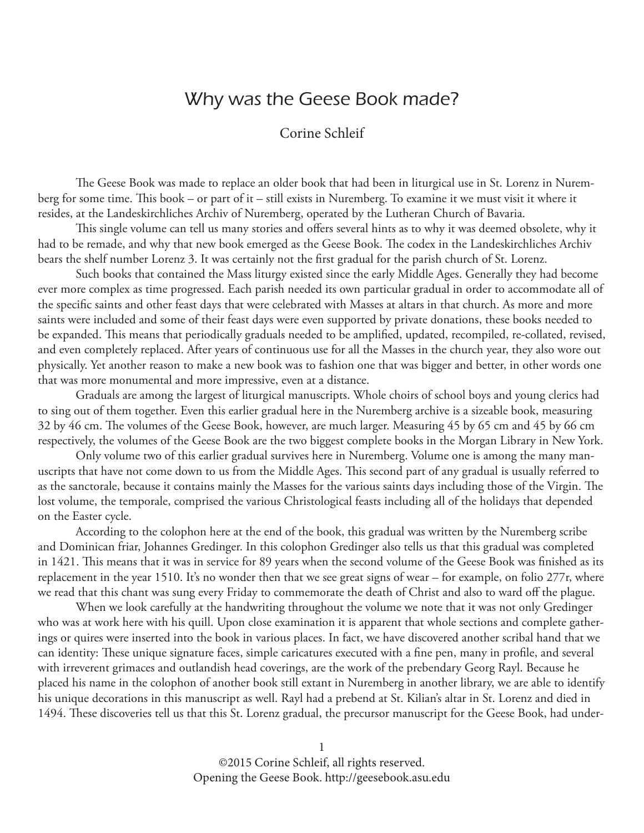## Why was the Geese Book made?

## Corine Schleif

The Geese Book was made to replace an older book that had been in liturgical use in St. Lorenz in Nuremberg for some time. This book – or part of it – still exists in Nuremberg. To examine it we must visit it where it resides, at the Landeskirchliches Archiv of Nuremberg, operated by the Lutheran Church of Bavaria.

This single volume can tell us many stories and offers several hints as to why it was deemed obsolete, why it had to be remade, and why that new book emerged as the Geese Book. The codex in the Landeskirchliches Archiv bears the shelf number Lorenz 3. It was certainly not the first gradual for the parish church of St. Lorenz.

 Such books that contained the Mass liturgy existed since the early Middle Ages. Generally they had become ever more complex as time progressed. Each parish needed its own particular gradual in order to accommodate all of the specific saints and other feast days that were celebrated with Masses at altars in that church. As more and more saints were included and some of their feast days were even supported by private donations, these books needed to be expanded. This means that periodically graduals needed to be amplified, updated, recompiled, re-collated, revised, and even completely replaced. After years of continuous use for all the Masses in the church year, they also wore out physically. Yet another reason to make a new book was to fashion one that was bigger and better, in other words one that was more monumental and more impressive, even at a distance.

 Graduals are among the largest of liturgical manuscripts. Whole choirs of school boys and young clerics had to sing out of them together. Even this earlier gradual here in the Nuremberg archive is a sizeable book, measuring 32 by 46 cm. The volumes of the Geese Book, however, are much larger. Measuring 45 by 65 cm and 45 by 66 cm respectively, the volumes of the Geese Book are the two biggest complete books in the Morgan Library in New York.

 Only volume two of this earlier gradual survives here in Nuremberg. Volume one is among the many manuscripts that have not come down to us from the Middle Ages. This second part of any gradual is usually referred to as the sanctorale, because it contains mainly the Masses for the various saints days including those of the Virgin. The lost volume, the temporale, comprised the various Christological feasts including all of the holidays that depended on the Easter cycle.

 According to the colophon here at the end of the book, this gradual was written by the Nuremberg scribe and Dominican friar, Johannes Gredinger. In this colophon Gredinger also tells us that this gradual was completed in 1421. This means that it was in service for 89 years when the second volume of the Geese Book was finished as its replacement in the year 1510. It's no wonder then that we see great signs of wear – for example, on folio 277r, where we read that this chant was sung every Friday to commemorate the death of Christ and also to ward off the plague.

 When we look carefully at the handwriting throughout the volume we note that it was not only Gredinger who was at work here with his quill. Upon close examination it is apparent that whole sections and complete gatherings or quires were inserted into the book in various places. In fact, we have discovered another scribal hand that we can identity: These unique signature faces, simple caricatures executed with a fine pen, many in profile, and several with irreverent grimaces and outlandish head coverings, are the work of the prebendary Georg Rayl. Because he placed his name in the colophon of another book still extant in Nuremberg in another library, we are able to identify his unique decorations in this manuscript as well. Rayl had a prebend at St. Kilian's altar in St. Lorenz and died in 1494. These discoveries tell us that this St. Lorenz gradual, the precursor manuscript for the Geese Book, had under-

> 1 ©2015 Corine Schleif, all rights reserved. Opening the Geese Book. http://geesebook.asu.edu